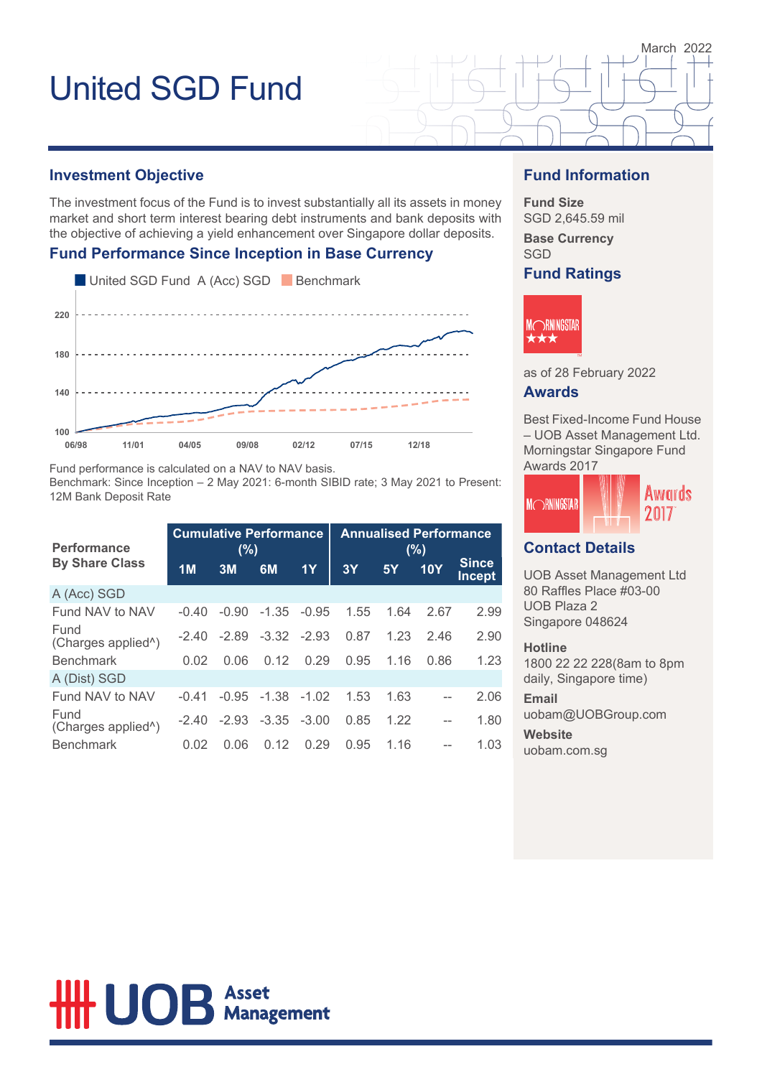### **Investment Objective**

The investment focus of the Fund is to invest substantially all its assets in money market and short term interest bearing debt instruments and bank deposits with the objective of achieving a yield enhancement over Singapore dollar deposits.

### **Fund Performance Since Inception in Base Currency**



Fund performance is calculated on a NAV to NAV basis.

Benchmark: Since Inception – 2 May 2021: 6-month SIBID rate; 3 May 2021 to Present: 12M Bank Deposit Rate

| <b>Performance</b>                      | <b>Cumulative Performance</b><br>(%) |         |               | <b>Annualised Performance</b><br>(%) |      |      |      |                        |
|-----------------------------------------|--------------------------------------|---------|---------------|--------------------------------------|------|------|------|------------------------|
| <b>By Share Class</b>                   | 1 <sub>M</sub>                       | 3M      | 6M            | 1Y                                   | 3Y   | 5Y   | 10Y  | <b>Since</b><br>Incept |
| A (Acc) SGD                             |                                      |         |               |                                      |      |      |      |                        |
| Fund NAV to NAV                         | $-0.40$                              | $-0.90$ | $-1.35$       | $-0.95$                              | 1.55 | 1.64 | 2.67 | 2.99                   |
| Fund<br>(Charges applied <sup>^</sup> ) | -2 40                                | $-2.89$ | $-3.32 -2.93$ |                                      | 0.87 | 1.23 | 2.46 | 2.90                   |
| <b>Benchmark</b>                        | 0.02                                 | 0.06    | 0.12          | 0.29                                 | 0.95 | 1.16 | 0.86 | 1.23                   |
| A (Dist) SGD                            |                                      |         |               |                                      |      |      |      |                        |
| Fund NAV to NAV                         | $-0.41$                              | $-0.95$ | $-1.38$       | $-1.02$                              | 1.53 | 1.63 |      | 2.06                   |
| Fund<br>(Charges applied <sup>^</sup> ) | $-2.40$                              | $-2.93$ | $-3.35 -3.00$ |                                      | 0.85 | 1.22 | --   | 1.80                   |
| <b>Benchmark</b>                        | 0.02                                 | 0.06    | 0.12          | 0.29                                 | 0.95 | 1.16 |      | 1.03                   |

### **Fund Information**

March 2022

**Fund Size** SGD 2,645.59 mil

**Base Currency** SGD

**Fund Ratings**



as of 28 February 2022

### **Awards**

Best Fixed-Income Fund House – UOB Asset Management Ltd. Morningstar Singapore Fund Awards 2017



### **Contact Details**

UOB Asset Management Ltd 80 Raffles Place #03-00 UOB Plaza 2 Singapore 048624

#### **Hotline**

1800 22 22 228(8am to 8pm daily, Singapore time)

#### **Email**

uobam@UOBGroup.com **Website** uobam.com.sg

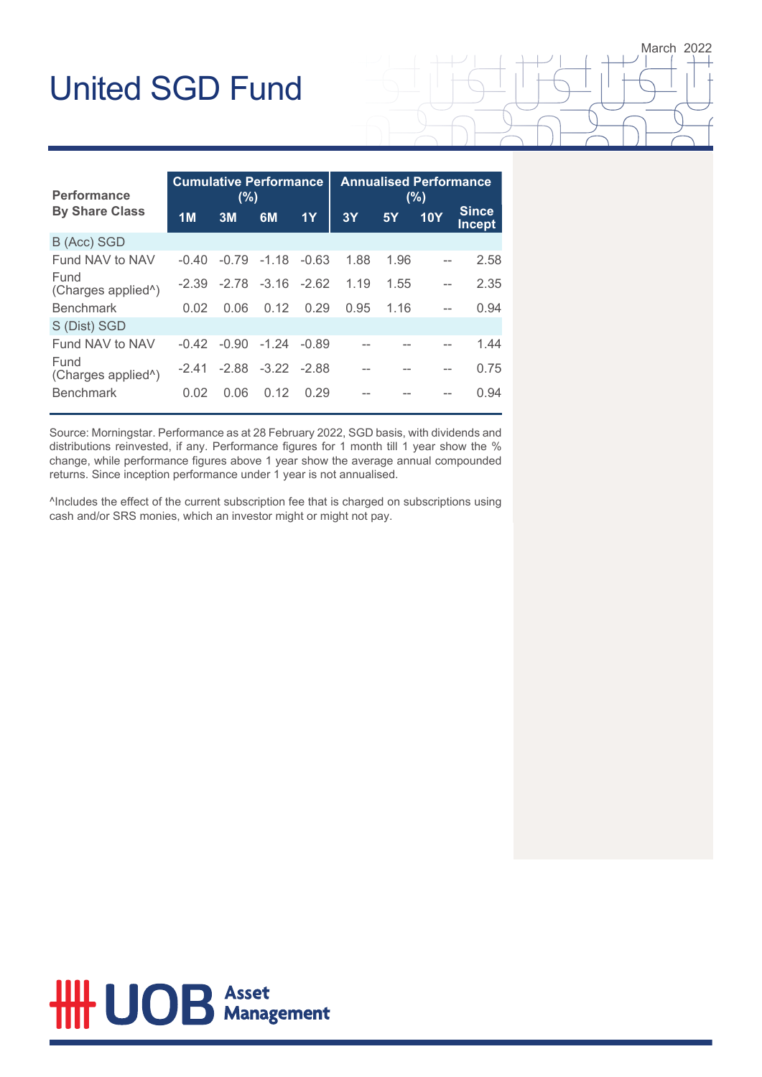| Performance                             | <b>Cumulative Performance</b><br>(%) |         |                         | <b>Annualised Performance</b><br>(%) |      |      |            |                               |
|-----------------------------------------|--------------------------------------|---------|-------------------------|--------------------------------------|------|------|------------|-------------------------------|
| <b>By Share Class</b>                   | 1 <sub>M</sub>                       | 3M      | 6M                      | 1Y                                   | 3Y   | 5Y   | <b>10Y</b> | <b>Since</b><br><b>Incept</b> |
| B (Acc) SGD                             |                                      |         |                         |                                      |      |      |            |                               |
| Fund NAV to NAV                         | $-0.40$                              | $-0.79$ | $-1.18$                 | $-0.63$                              | 1.88 | 1.96 |            | 2.58                          |
| Fund<br>(Charges applied <sup>^</sup> ) | -2.39                                |         | $-2.78$ $-3.16$ $-2.62$ |                                      | 1.19 | 1.55 |            | 2.35                          |
| <b>Benchmark</b>                        | 0.02                                 | 0.06    | 0.12                    | 0.29                                 | 0.95 | 1.16 | $-$        | 0.94                          |
| S (Dist) SGD                            |                                      |         |                         |                                      |      |      |            |                               |
| Fund NAV to NAV                         | $-0.42$                              | $-0.90$ | $-1.24$                 | $-0.89$                              |      |      |            | 1.44                          |
| Fund<br>(Charges applied <sup>^</sup> ) | -2 41                                |         | $-2.88$ $-3.22$ $-2.88$ |                                      |      |      |            | 0.75                          |
| <b>Benchmark</b>                        | 0.02                                 | 0.06    | 0.12                    | 0.29                                 |      |      |            | 0.94                          |

March 2022

Source: Morningstar. Performance as at 28 February 2022, SGD basis, with dividends and distributions reinvested, if any. Performance figures for 1 month till 1 year show the % change, while performance figures above 1 year show the average annual compounded returns. Since inception performance under 1 year is not annualised.

^Includes the effect of the current subscription fee that is charged on subscriptions using cash and/or SRS monies, which an investor might or might not pay.

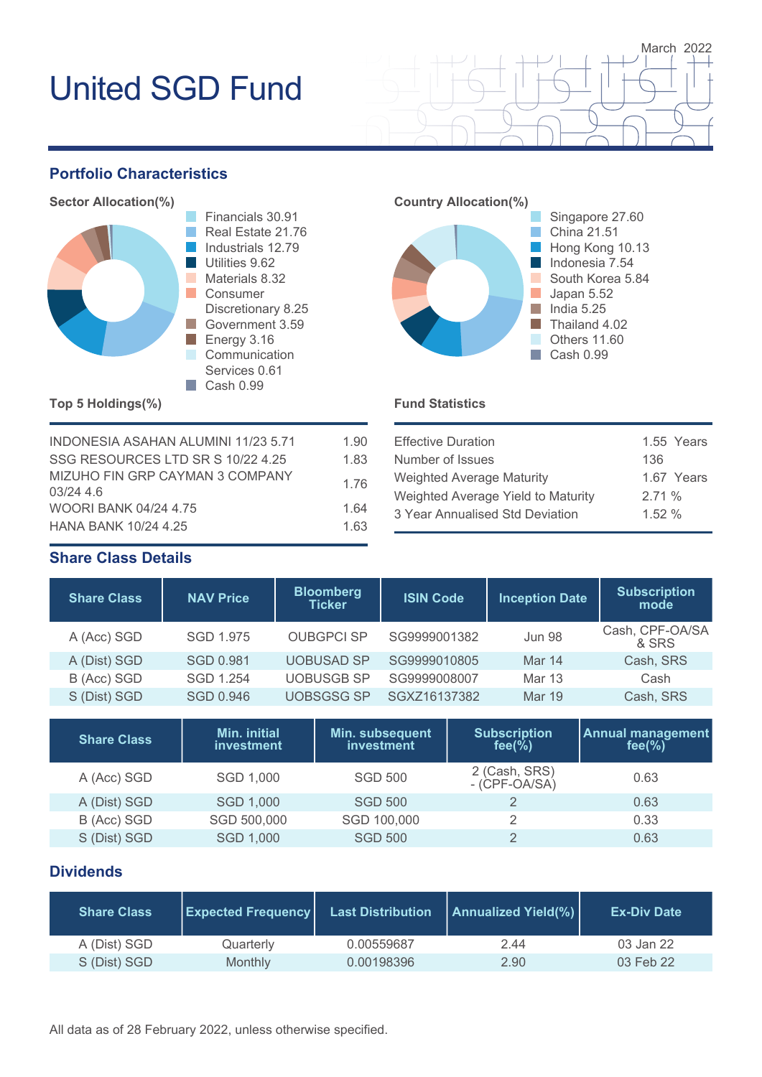## **Portfolio Characteristics**



Financials 30.91 Real Estate 21.76 Industrials 12.79 Utilities 9.62 Materials 8.32 Discretionary 8.25 Government 3.59 **Communication** Services 0.61



Effective Duration 1.55 Years

March 2022

Weighted Average Maturity 1.67 Years Weighted Average Yield to Maturity 2.71 % 3 Year Annualised Std Deviation 1.52 %

Number of Issues 136

## **Top 5 Holdings(%) Fund Statistics**

| INDONESIA ASAHAN ALUMINI 11/23 5.71        | 1.90 |
|--------------------------------------------|------|
| SSG RESOURCES LTD SR S 10/22 4.25          | 1.83 |
| MIZUHO FIN GRP CAYMAN 3 COMPANY<br>03/2446 | 1.76 |
| <b>WOORI BANK 04/24 4.75</b>               | 1.64 |
| <b>HANA BANK 10/24 4.25</b>                | 1.63 |

## **Share Class Details**

| <b>Share Class</b> | <b>NAV Price</b> | <b>Bloomberg</b><br><b>Ticker</b> | <b>ISIN Code</b> | <b>Inception Date</b> | <b>Subscription</b><br>mode |
|--------------------|------------------|-----------------------------------|------------------|-----------------------|-----------------------------|
| A (Acc) SGD        | SGD 1.975        | <b>OUBGPCI SP</b>                 | SG9999001382     | <b>Jun 98</b>         | Cash, CPF-OA/SA<br>& SRS    |
| A (Dist) SGD       | <b>SGD 0.981</b> | <b>UOBUSAD SP</b>                 | SG9999010805     | Mar 14                | Cash, SRS                   |
| B (Acc) SGD        | <b>SGD 1.254</b> | <b>UOBUSGB SP</b>                 | SG9999008007     | Mar 13                | Cash                        |
| S (Dist) SGD       | SGD 0.946        | <b>UOBSGSG SP</b>                 | SGXZ16137382     | Mar 19                | Cash, SRS                   |

| <b>Share Class</b> | Min. initial<br>investment | Min. subsequent<br>investment | <b>Subscription</b><br>fee $\frac{9}{6}$ | <b>Annual management</b><br>fee $(\%)$ |
|--------------------|----------------------------|-------------------------------|------------------------------------------|----------------------------------------|
| A (Acc) SGD        | SGD 1,000                  | <b>SGD 500</b>                | 2 (Cash, SRS)<br>$-(CPF-OA/SA)$          | 0.63                                   |
| A (Dist) SGD       | SGD 1,000                  | <b>SGD 500</b>                |                                          | 0.63                                   |
| B (Acc) SGD        | SGD 500,000                | SGD 100,000                   |                                          | 0.33                                   |
| S (Dist) SGD       | SGD 1,000                  | <b>SGD 500</b>                |                                          | 0.63                                   |

## **Dividends**

| <b>Share Class</b> | <b>Expected Frequency</b> | <b>Last Distribution</b> | <b>Annualized Yield(%)</b> | <b>Ex-Div Date</b> |
|--------------------|---------------------------|--------------------------|----------------------------|--------------------|
| A (Dist) SGD       | Quarterly                 | 0.00559687               | 2.44                       | 03 Jan 22          |
| S (Dist) SGD       | Monthly                   | 0.00198396               | 2.90                       | 03 Feb 22          |

All data as of 28 February 2022, unless otherwise specified.